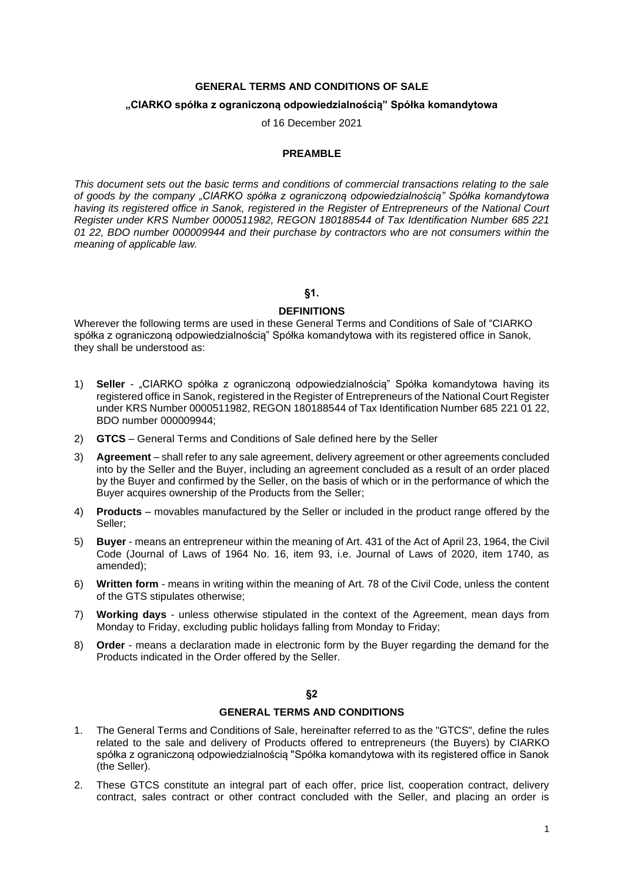# **GENERAL TERMS AND CONDITIONS OF SALE**

#### **"CIARKO spółka z ograniczoną odpowiedzialnością" Spółka komandytowa**

of 16 December 2021

#### **PREAMBLE**

*This document sets out the basic terms and conditions of commercial transactions relating to the sale of goods by the company "CIARKO spółka z ograniczoną odpowiedzialnością" Spółka komandytowa having its registered office in Sanok, registered in the Register of Entrepreneurs of the National Court Register under KRS Number 0000511982, REGON 180188544 of Tax Identification Number 685 221 01 22, BDO number 000009944 and their purchase by contractors who are not consumers within the meaning of applicable law.*

### **§1.**

#### **DEFINITIONS**

Wherever the following terms are used in these General Terms and Conditions of Sale of "CIARKO spółka z ograniczoną odpowiedzialnością" Spółka komandytowa with its registered office in Sanok, they shall be understood as:

- 1) **Seller** "CIARKO spółka z ograniczoną odpowiedzialnością" Spółka komandytowa having its registered office in Sanok, registered in the Register of Entrepreneurs of the National Court Register under KRS Number 0000511982, REGON 180188544 of Tax Identification Number 685 221 01 22, BDO number 000009944;
- 2) **GTCS** General Terms and Conditions of Sale defined here by the Seller
- 3) **Agreement** shall refer to any sale agreement, delivery agreement or other agreements concluded into by the Seller and the Buyer, including an agreement concluded as a result of an order placed by the Buyer and confirmed by the Seller, on the basis of which or in the performance of which the Buyer acquires ownership of the Products from the Seller;
- 4) **Products** movables manufactured by the Seller or included in the product range offered by the Seller;
- 5) **Buyer** means an entrepreneur within the meaning of Art. 431 of the Act of April 23, 1964, the Civil Code (Journal of Laws of 1964 No. 16, item 93, i.e. Journal of Laws of 2020, item 1740, as amended);
- 6) **Written form** means in writing within the meaning of Art. 78 of the Civil Code, unless the content of the GTS stipulates otherwise;
- 7) **Working days** unless otherwise stipulated in the context of the Agreement, mean days from Monday to Friday, excluding public holidays falling from Monday to Friday;
- 8) **Order** means a declaration made in electronic form by the Buyer regarding the demand for the Products indicated in the Order offered by the Seller.

**§2**

### **GENERAL TERMS AND CONDITIONS**

- 1. The General Terms and Conditions of Sale, hereinafter referred to as the "GTCS", define the rules related to the sale and delivery of Products offered to entrepreneurs (the Buyers) by CIARKO spółka z ograniczoną odpowiedzialnością "Spółka komandytowa with its registered office in Sanok (the Seller).
- 2. These GTCS constitute an integral part of each offer, price list, cooperation contract, delivery contract, sales contract or other contract concluded with the Seller, and placing an order is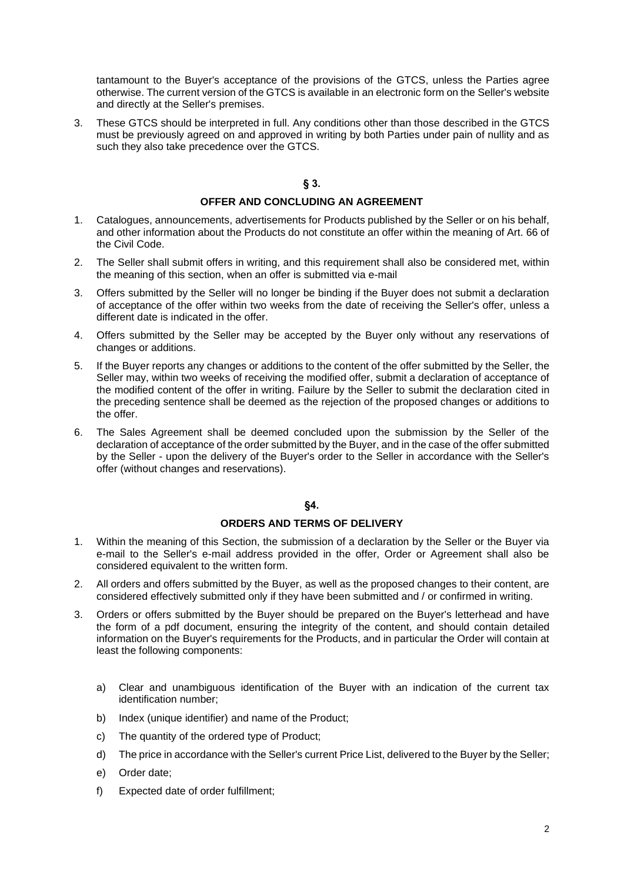tantamount to the Buyer's acceptance of the provisions of the GTCS, unless the Parties agree otherwise. The current version of the GTCS is available in an electronic form on the Seller's website and directly at the Seller's premises.

3. These GTCS should be interpreted in full. Any conditions other than those described in the GTCS must be previously agreed on and approved in writing by both Parties under pain of nullity and as such they also take precedence over the GTCS.

# **§ 3.**

### **OFFER AND CONCLUDING AN AGREEMENT**

- 1. Catalogues, announcements, advertisements for Products published by the Seller or on his behalf, and other information about the Products do not constitute an offer within the meaning of Art. 66 of the Civil Code.
- 2. The Seller shall submit offers in writing, and this requirement shall also be considered met, within the meaning of this section, when an offer is submitted via e-mail
- 3. Offers submitted by the Seller will no longer be binding if the Buyer does not submit a declaration of acceptance of the offer within two weeks from the date of receiving the Seller's offer, unless a different date is indicated in the offer.
- 4. Offers submitted by the Seller may be accepted by the Buyer only without any reservations of changes or additions.
- 5. If the Buyer reports any changes or additions to the content of the offer submitted by the Seller, the Seller may, within two weeks of receiving the modified offer, submit a declaration of acceptance of the modified content of the offer in writing. Failure by the Seller to submit the declaration cited in the preceding sentence shall be deemed as the rejection of the proposed changes or additions to the offer.
- 6. The Sales Agreement shall be deemed concluded upon the submission by the Seller of the declaration of acceptance of the order submitted by the Buyer, and in the case of the offer submitted by the Seller - upon the delivery of the Buyer's order to the Seller in accordance with the Seller's offer (without changes and reservations).

### **§4.**

# **ORDERS AND TERMS OF DELIVERY**

- 1. Within the meaning of this Section, the submission of a declaration by the Seller or the Buyer via e-mail to the Seller's e-mail address provided in the offer, Order or Agreement shall also be considered equivalent to the written form.
- 2. All orders and offers submitted by the Buyer, as well as the proposed changes to their content, are considered effectively submitted only if they have been submitted and / or confirmed in writing.
- 3. Orders or offers submitted by the Buyer should be prepared on the Buyer's letterhead and have the form of a pdf document, ensuring the integrity of the content, and should contain detailed information on the Buyer's requirements for the Products, and in particular the Order will contain at least the following components:
	- a) Clear and unambiguous identification of the Buyer with an indication of the current tax identification number;
	- b) Index (unique identifier) and name of the Product;
	- c) The quantity of the ordered type of Product;
	- d) The price in accordance with the Seller's current Price List, delivered to the Buyer by the Seller;
	- e) Order date;
	- f) Expected date of order fulfillment;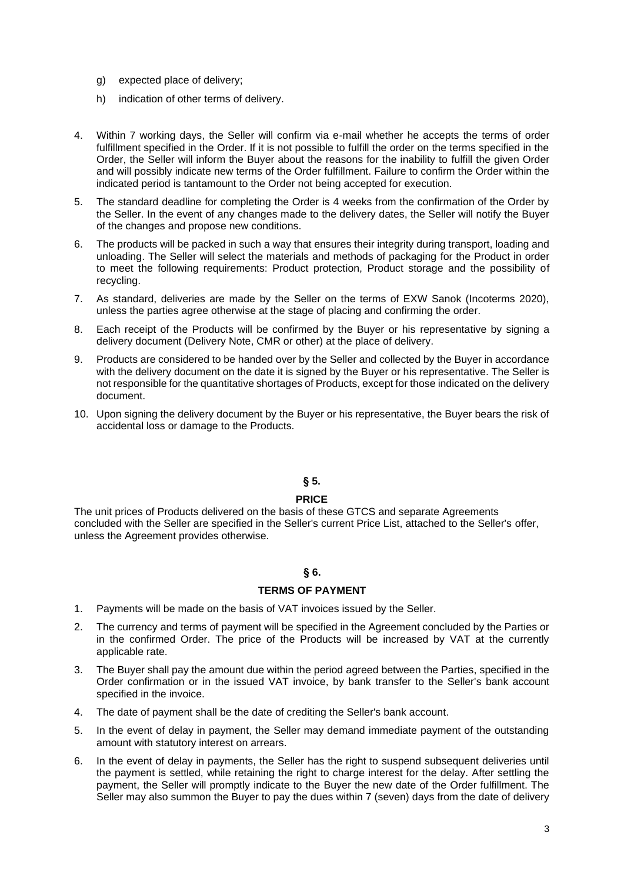- g) expected place of delivery;
- h) indication of other terms of delivery.
- 4. Within 7 working days, the Seller will confirm via e-mail whether he accepts the terms of order fulfillment specified in the Order. If it is not possible to fulfill the order on the terms specified in the Order, the Seller will inform the Buyer about the reasons for the inability to fulfill the given Order and will possibly indicate new terms of the Order fulfillment. Failure to confirm the Order within the indicated period is tantamount to the Order not being accepted for execution.
- 5. The standard deadline for completing the Order is 4 weeks from the confirmation of the Order by the Seller. In the event of any changes made to the delivery dates, the Seller will notify the Buyer of the changes and propose new conditions.
- 6. The products will be packed in such a way that ensures their integrity during transport, loading and unloading. The Seller will select the materials and methods of packaging for the Product in order to meet the following requirements: Product protection, Product storage and the possibility of recycling.
- 7. As standard, deliveries are made by the Seller on the terms of EXW Sanok (Incoterms 2020), unless the parties agree otherwise at the stage of placing and confirming the order.
- 8. Each receipt of the Products will be confirmed by the Buyer or his representative by signing a delivery document (Delivery Note, CMR or other) at the place of delivery.
- 9. Products are considered to be handed over by the Seller and collected by the Buyer in accordance with the delivery document on the date it is signed by the Buyer or his representative. The Seller is not responsible for the quantitative shortages of Products, except for those indicated on the delivery document.
- 10. Upon signing the delivery document by the Buyer or his representative, the Buyer bears the risk of accidental loss or damage to the Products.

### **§ 5.**

### **PRICE**

The unit prices of Products delivered on the basis of these GTCS and separate Agreements concluded with the Seller are specified in the Seller's current Price List, attached to the Seller's offer, unless the Agreement provides otherwise.

# **§ 6.**

# **TERMS OF PAYMENT**

- 1. Payments will be made on the basis of VAT invoices issued by the Seller.
- 2. The currency and terms of payment will be specified in the Agreement concluded by the Parties or in the confirmed Order. The price of the Products will be increased by VAT at the currently applicable rate.
- 3. The Buyer shall pay the amount due within the period agreed between the Parties, specified in the Order confirmation or in the issued VAT invoice, by bank transfer to the Seller's bank account specified in the invoice.
- 4. The date of payment shall be the date of crediting the Seller's bank account.
- 5. In the event of delay in payment, the Seller may demand immediate payment of the outstanding amount with statutory interest on arrears.
- 6. In the event of delay in payments, the Seller has the right to suspend subsequent deliveries until the payment is settled, while retaining the right to charge interest for the delay. After settling the payment, the Seller will promptly indicate to the Buyer the new date of the Order fulfillment. The Seller may also summon the Buyer to pay the dues within 7 (seven) days from the date of delivery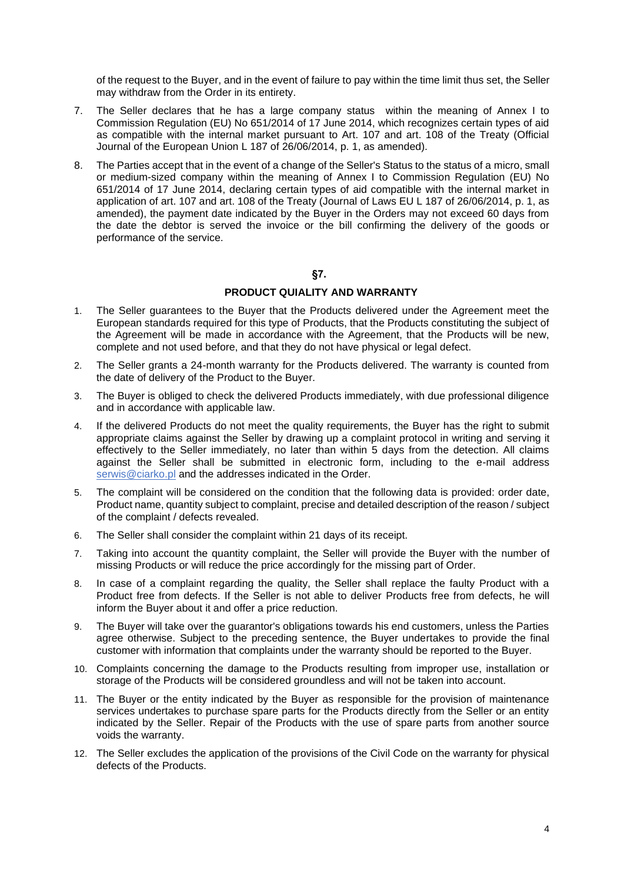of the request to the Buyer, and in the event of failure to pay within the time limit thus set, the Seller may withdraw from the Order in its entirety.

- 7. The Seller declares that he has a large company status within the meaning of Annex I to Commission Regulation (EU) No 651/2014 of 17 June 2014, which recognizes certain types of aid as compatible with the internal market pursuant to Art. 107 and art. 108 of the Treaty (Official Journal of the European Union L 187 of 26/06/2014, p. 1, as amended).
- 8. The Parties accept that in the event of a change of the Seller's Status to the status of a micro, small or medium-sized company within the meaning of Annex I to Commission Regulation (EU) No 651/2014 of 17 June 2014, declaring certain types of aid compatible with the internal market in application of art. 107 and art. 108 of the Treaty (Journal of Laws EU L 187 of 26/06/2014, p. 1, as amended), the payment date indicated by the Buyer in the Orders may not exceed 60 days from the date the debtor is served the invoice or the bill confirming the delivery of the goods or performance of the service.

# **§7.**

# **PRODUCT QUIALITY AND WARRANTY**

- 1. The Seller guarantees to the Buyer that the Products delivered under the Agreement meet the European standards required for this type of Products, that the Products constituting the subject of the Agreement will be made in accordance with the Agreement, that the Products will be new, complete and not used before, and that they do not have physical or legal defect.
- 2. The Seller grants a 24-month warranty for the Products delivered. The warranty is counted from the date of delivery of the Product to the Buyer.
- 3. The Buyer is obliged to check the delivered Products immediately, with due professional diligence and in accordance with applicable law.
- 4. If the delivered Products do not meet the quality requirements, the Buyer has the right to submit appropriate claims against the Seller by drawing up a complaint protocol in writing and serving it effectively to the Seller immediately, no later than within 5 days from the detection. All claims against the Seller shall be submitted in electronic form, including to the e-mail address serwis@ciarko.pl and the addresses indicated in the Order.
- 5. The complaint will be considered on the condition that the following data is provided: order date, Product name, quantity subject to complaint, precise and detailed description of the reason / subject of the complaint / defects revealed.
- 6. The Seller shall consider the complaint within 21 days of its receipt.
- 7. Taking into account the quantity complaint, the Seller will provide the Buyer with the number of missing Products or will reduce the price accordingly for the missing part of Order.
- 8. In case of a complaint regarding the quality, the Seller shall replace the faulty Product with a Product free from defects. If the Seller is not able to deliver Products free from defects, he will inform the Buyer about it and offer a price reduction.
- 9. The Buyer will take over the guarantor's obligations towards his end customers, unless the Parties agree otherwise. Subject to the preceding sentence, the Buyer undertakes to provide the final customer with information that complaints under the warranty should be reported to the Buyer.
- 10. Complaints concerning the damage to the Products resulting from improper use, installation or storage of the Products will be considered groundless and will not be taken into account.
- 11. The Buyer or the entity indicated by the Buyer as responsible for the provision of maintenance services undertakes to purchase spare parts for the Products directly from the Seller or an entity indicated by the Seller. Repair of the Products with the use of spare parts from another source voids the warranty.
- 12. The Seller excludes the application of the provisions of the Civil Code on the warranty for physical defects of the Products.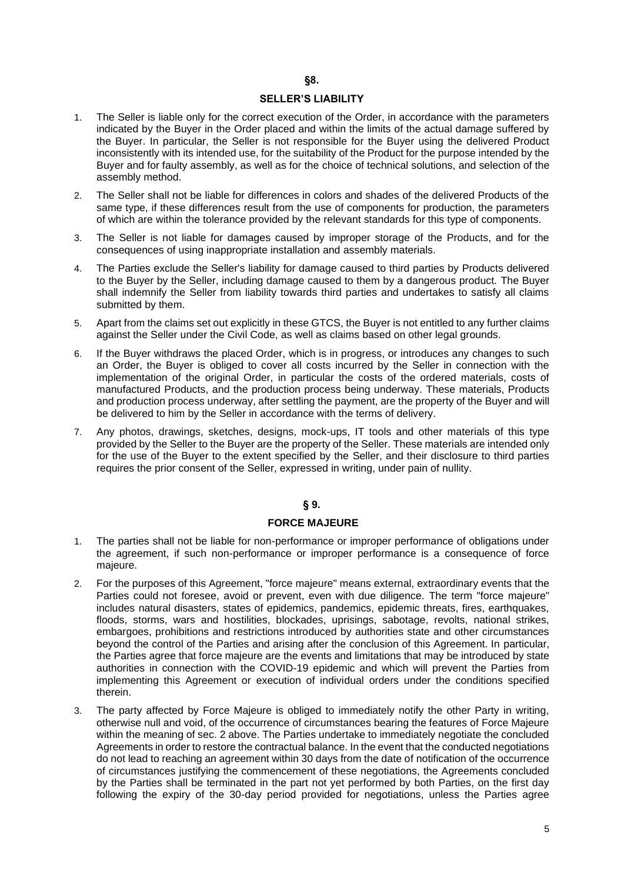# **§8.**

# **SELLER'S LIABILITY**

- 1. The Seller is liable only for the correct execution of the Order, in accordance with the parameters indicated by the Buyer in the Order placed and within the limits of the actual damage suffered by the Buyer. In particular, the Seller is not responsible for the Buyer using the delivered Product inconsistently with its intended use, for the suitability of the Product for the purpose intended by the Buyer and for faulty assembly, as well as for the choice of technical solutions, and selection of the assembly method.
- 2. The Seller shall not be liable for differences in colors and shades of the delivered Products of the same type, if these differences result from the use of components for production, the parameters of which are within the tolerance provided by the relevant standards for this type of components.
- 3. The Seller is not liable for damages caused by improper storage of the Products, and for the consequences of using inappropriate installation and assembly materials.
- 4. The Parties exclude the Seller's liability for damage caused to third parties by Products delivered to the Buyer by the Seller, including damage caused to them by a dangerous product. The Buyer shall indemnify the Seller from liability towards third parties and undertakes to satisfy all claims submitted by them.
- 5. Apart from the claims set out explicitly in these GTCS, the Buyer is not entitled to any further claims against the Seller under the Civil Code, as well as claims based on other legal grounds.
- 6. If the Buyer withdraws the placed Order, which is in progress, or introduces any changes to such an Order, the Buyer is obliged to cover all costs incurred by the Seller in connection with the implementation of the original Order, in particular the costs of the ordered materials, costs of manufactured Products, and the production process being underway. These materials, Products and production process underway, after settling the payment, are the property of the Buyer and will be delivered to him by the Seller in accordance with the terms of delivery.
- 7. Any photos, drawings, sketches, designs, mock-ups, IT tools and other materials of this type provided by the Seller to the Buyer are the property of the Seller. These materials are intended only for the use of the Buyer to the extent specified by the Seller, and their disclosure to third parties requires the prior consent of the Seller, expressed in writing, under pain of nullity.

### **§ 9.**

### **FORCE MAJEURE**

- 1. The parties shall not be liable for non-performance or improper performance of obligations under the agreement, if such non-performance or improper performance is a consequence of force majeure.
- 2. For the purposes of this Agreement, "force majeure" means external, extraordinary events that the Parties could not foresee, avoid or prevent, even with due diligence. The term "force majeure" includes natural disasters, states of epidemics, pandemics, epidemic threats, fires, earthquakes, floods, storms, wars and hostilities, blockades, uprisings, sabotage, revolts, national strikes, embargoes, prohibitions and restrictions introduced by authorities state and other circumstances beyond the control of the Parties and arising after the conclusion of this Agreement. In particular, the Parties agree that force majeure are the events and limitations that may be introduced by state authorities in connection with the COVID-19 epidemic and which will prevent the Parties from implementing this Agreement or execution of individual orders under the conditions specified therein.
- 3. The party affected by Force Majeure is obliged to immediately notify the other Party in writing, otherwise null and void, of the occurrence of circumstances bearing the features of Force Majeure within the meaning of sec. 2 above. The Parties undertake to immediately negotiate the concluded Agreements in order to restore the contractual balance. In the event that the conducted negotiations do not lead to reaching an agreement within 30 days from the date of notification of the occurrence of circumstances justifying the commencement of these negotiations, the Agreements concluded by the Parties shall be terminated in the part not yet performed by both Parties, on the first day following the expiry of the 30-day period provided for negotiations, unless the Parties agree